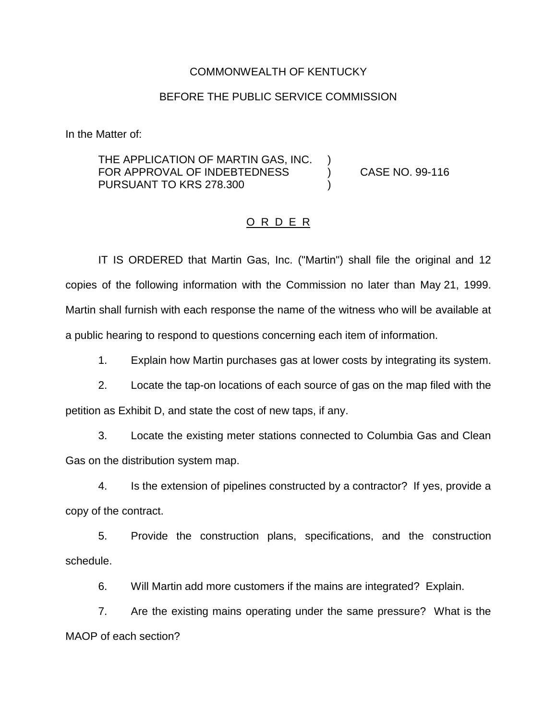## COMMONWEALTH OF KENTUCKY

## BEFORE THE PUBLIC SERVICE COMMISSION

In the Matter of:

THE APPLICATION OF MARTIN GAS, INC. FOR APPROVAL OF INDEBTEDNESS (CASE NO. 99-116) PURSUANT TO KRS 278.300 )

## O R D E R

IT IS ORDERED that Martin Gas, Inc. ("Martin") shall file the original and 12 copies of the following information with the Commission no later than May 21, 1999. Martin shall furnish with each response the name of the witness who will be available at a public hearing to respond to questions concerning each item of information.

1. Explain how Martin purchases gas at lower costs by integrating its system.

2. Locate the tap-on locations of each source of gas on the map filed with the petition as Exhibit D, and state the cost of new taps, if any.

3. Locate the existing meter stations connected to Columbia Gas and Clean Gas on the distribution system map.

4. Is the extension of pipelines constructed by a contractor? If yes, provide a copy of the contract.

5. Provide the construction plans, specifications, and the construction schedule.

6. Will Martin add more customers if the mains are integrated? Explain.

7. Are the existing mains operating under the same pressure? What is the MAOP of each section?